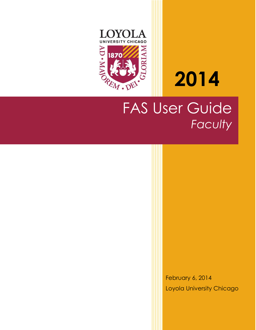



# **2014** FAS User Guide *Faculty*

February 6, 2014 Loyola University Chicago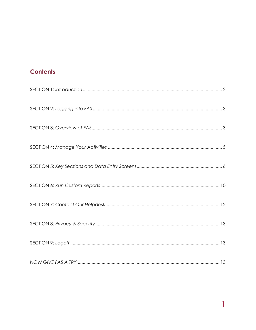## **Contents**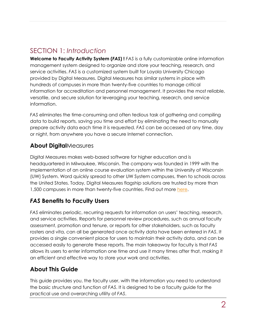## <span id="page-2-0"></span>SECTION 1: *Introduction*

**Welcome to Faculty Activity System (***FAS***) !** *FAS* is a fully customizable online information management system designed to organize and store your teaching, research, and service activities. *FAS* is a customized system built for Loyola University Chicago provided by Digital Measures. Digital Measures has similar systems in place with hundreds of campuses in more than twenty-five countries to manage critical information for accreditation and personnel management. It provides the most reliable, versatile, and secure solution for leveraging your teaching, research, and service information.

*FAS* eliminates the time-consuming and often tedious task of gathering and compiling data to build reports, saving you time and effort by eliminating the need to manually prepare activity data each time it is requested. *FAS* can be accessed at any time, day or night, from anywhere you have a secure Internet connection.

## **About Digital**Measures

Digital Measures makes web-based software for higher education and is headquartered in Milwaukee, Wisconsin. The company was founded in 1999 with the implementation of an online course evaluation system within the University of Wisconsin (UW) System. Word quickly spread to other UW System campuses, then to schools across the United States. Today, Digital Measures flagship solutions are trusted by more than 1,500 campuses in more than twenty-five countries. Find out more [here.](https://www.digitalmeasures.com/digital-measures/about/)

## *FAS* **Benefits to Faculty Users**

*FAS* eliminates periodic, recurring requests for information on users' teaching, research, and service activities. Reports for personnel review procedures, such as annual faculty assessment, promotion and tenure, or reports for other stakeholders, such as faculty rosters and vita, can all be generated once activity data have been entered in *FAS*. It provides a single convenient place for users to maintain their activity data, and can be accessed easily to generate these reports. The main takeaway for faculty is that *FAS* allows its users to enter information one time and use it many times after that, making it an efficient and effective way to store your work and activities.

## **About This Guide**

This guide provides you, the faculty user, with the information you need to understand the basic structure and function of *FAS*. It is designed to be a faculty guide for the practical use and overarching utility of *FAS*.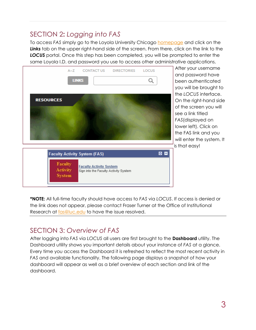# <span id="page-3-0"></span>SECTION 2**:** *Logging into FAS*

To access *FAS* simply go to the Loyola University Chicago [homepage](http://www.luc.edu/) and click on the *Links* tab on the upper right-hand side of the screen. From there, click on the link to the *LOCUS* portal. Once this step has been completed, you will be prompted to enter the same Loyola I.D. and password you use to access other administrative applications.

|                            | $A-Z$        | <b>CONTACT US</b>                     | <b>DIRECTORIES</b> | LOCUS                          |
|----------------------------|--------------|---------------------------------------|--------------------|--------------------------------|
|                            | <b>LINKS</b> |                                       |                    |                                |
|                            |              |                                       |                    |                                |
| <b>RESOURCES</b>           |              |                                       |                    |                                |
|                            |              |                                       |                    |                                |
|                            |              |                                       |                    |                                |
|                            |              |                                       |                    |                                |
|                            |              |                                       |                    |                                |
|                            |              |                                       |                    | ē.<br>$\overline{\phantom{0}}$ |
|                            |              | <b>Faculty Activity System (FAS)</b>  |                    |                                |
| <b>Faculty</b><br>Activity |              | <b>Faculty Activity System</b>        |                    |                                |
| <b>System</b>              |              | Sign into the Faculty Activity System |                    |                                |
|                            |              |                                       |                    |                                |

After your username and password have been authenticated you will be brought to the *LOCUS* interface. On the right-hand side of the screen you will see a link titled *FAS*(displayed on lower left). Click on the FAS link and you will enter the system. It is that easy!

**\*NOTE:** All full-time faculty should have access to *FAS* via *LOCUS*. If access is denied or the link does not appear, please contact Fraser Turner at the Office of Institutional Research at [fas@luc.edu](mailto:fas@luc.edu) to have the issue resolved.

## <span id="page-3-1"></span>SECTION 3: *Overview of FAS*

After logging into *FAS* via *LOCUS* all users are first brought to the **Dashboard** utility. The Dashboard utility shows you important details about your instance of *FAS* at a glance. Every time you access the Dashboard it is refreshed to reflect the most recent activity in *FAS* and available functionality. The following page displays a snapshot of how your dashboard will appear as well as a brief overview of each section and link of the dashboard.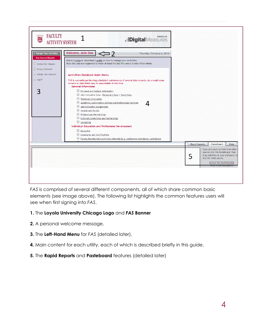| <b>ACTIVITY SYSTEM</b>                                                                                  | .::DigitalMeasures                                                                                                                                                                                                                                                                                                                                                                                                                                                                                          |   |                                                                                                                                                                                                 |
|---------------------------------------------------------------------------------------------------------|-------------------------------------------------------------------------------------------------------------------------------------------------------------------------------------------------------------------------------------------------------------------------------------------------------------------------------------------------------------------------------------------------------------------------------------------------------------------------------------------------------------|---|-------------------------------------------------------------------------------------------------------------------------------------------------------------------------------------------------|
| <b>Manage Your Activities</b><br><b>Run Custom Reports</b><br>Contact Our Helpdesk<br>Privacy Statement | Welcome, John Doe.<br>$\leq$ 2<br>Thursday, February 6, 2014<br>Watch a video or download a guide on how to manage your activities.<br>Note that you are requested to enter at least the last five years of your information.                                                                                                                                                                                                                                                                               |   |                                                                                                                                                                                                 |
| <b>ID</b> Change Your Password<br>$F$ Logoff                                                            | <b>Activities Database Main Menu</b><br>FAS is currently performing scheduled maintenance of several data records. As a result some<br>screens or data fields may be unavailable at this time.<br><b>General Information</b>                                                                                                                                                                                                                                                                                |   |                                                                                                                                                                                                 |
|                                                                                                         | Personal and Contact Information<br>Administrative Data - Permanent Data   Yearly Data<br>Workload Information<br>Academic, Government, Military and Professional Positions<br>Administrative Assignments<br>Awards and Honors<br>Professional Memberships<br>External Connections and Partnerships<br>$E$ Consulting<br>Individual Education and Professional Development<br>Education<br>Licensures and Certifications<br>Faculty Development Activities Attended (e.g. conference attendance, workshops) |   |                                                                                                                                                                                                 |
|                                                                                                         |                                                                                                                                                                                                                                                                                                                                                                                                                                                                                                             |   | <b>PasteBoard</b><br><b>Rapid Reports</b><br>Hide                                                                                                                                               |
|                                                                                                         |                                                                                                                                                                                                                                                                                                                                                                                                                                                                                                             | 5 | Copy-and-paste content from other<br>sources into the PasteBoard, then<br>drag-and-drop or copy-and-paste te:<br>into the fields above.<br><b>CLEAR THE PASTEBOARD</b><br>what is the Pasteboar |

*FAS* is comprised of several different components, all of which share common basic elements (see image above). The following list highlights the common features users will see when first signing into *FAS*.

#### **1.** The **Loyola University Chicago Logo** and *FAS* **Banner**

- **2.** A personal welcome message.
- **3.** The **Left-Hand Menu** for *FAS* (detailed later).
- **4.** Main content for each utility, each of which is described briefly in this guide.
- **5.** The **Rapid Reports** and **Pasteboard** features (detailed later)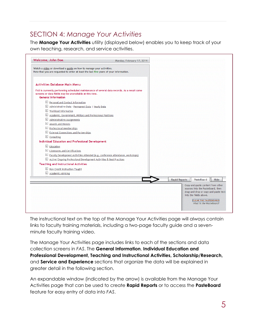## <span id="page-5-0"></span>SECTION 4: *Manage Your Activities*

The **Manage Your Activities** utility (displayed below) enables you to keep track of your own teaching, research, and service activities.

| Welcome, John Doe.                                                                                                                                     | Monday, February 17, 2014 |                                                                                                                |
|--------------------------------------------------------------------------------------------------------------------------------------------------------|---------------------------|----------------------------------------------------------------------------------------------------------------|
| Watch a video or download a guide on how to manage your activities.                                                                                    |                           |                                                                                                                |
| Note that you are requested to enter at least the last five years of your information.                                                                 |                           |                                                                                                                |
|                                                                                                                                                        |                           |                                                                                                                |
| <b>Activities Database Main Menu</b>                                                                                                                   |                           |                                                                                                                |
| FAS is currently performing scheduled maintenance of several data records. As a result some<br>screens or data fields may be unavailable at this time. |                           |                                                                                                                |
| <b>General Information</b>                                                                                                                             |                           |                                                                                                                |
| Personal and Contact Information                                                                                                                       |                           |                                                                                                                |
| Administrative Data - Permanent Data   Yearly Data                                                                                                     |                           |                                                                                                                |
| Workload Information                                                                                                                                   |                           |                                                                                                                |
| Academic, Government, Military and Professional Positions                                                                                              |                           |                                                                                                                |
| $\blacksquare$ Administrative Assignments                                                                                                              |                           |                                                                                                                |
| $\mathbf{J}(\mathbf{z})$<br><b>Awards and Honors</b>                                                                                                   |                           |                                                                                                                |
| Professional Memberships                                                                                                                               |                           |                                                                                                                |
| <b>External Connections and Partnerships</b>                                                                                                           |                           |                                                                                                                |
| $E$ Consulting                                                                                                                                         |                           |                                                                                                                |
| <b>Individual Education and Professional Development</b>                                                                                               |                           |                                                                                                                |
| Education                                                                                                                                              |                           |                                                                                                                |
| Licensures and Certifications                                                                                                                          |                           |                                                                                                                |
| Faculty Development Activities Attended (e.g. conference attendance, workshops)                                                                        |                           |                                                                                                                |
| Active/Ongoing Professional Development Activities & Best Practices                                                                                    |                           |                                                                                                                |
| <b>Teaching and Instructional Activities</b>                                                                                                           |                           |                                                                                                                |
| Non-Credit Instruction Taught                                                                                                                          |                           |                                                                                                                |
| $\blacksquare$ Academic Advising                                                                                                                       |                           |                                                                                                                |
|                                                                                                                                                        |                           | <b>Rapid Reports</b><br><b>PasteBoard</b><br>Hide                                                              |
|                                                                                                                                                        |                           |                                                                                                                |
|                                                                                                                                                        |                           | Copy-and-paste content from other<br>sources into the PasteBoard, then<br>drag-and-drop or copy-and-paste text |
|                                                                                                                                                        |                           | into the fields above.                                                                                         |
|                                                                                                                                                        |                           | <b>CLEAR THE PASTEBOARD</b><br>What is the PasteBoard?                                                         |

The instructional text on the top of the Manage Your Activities page will always contain links to faculty training materials, including a two-page faculty guide and a sevenminute faculty training video.

The Manage Your Activities page includes links to each of the sections and data collection screens in *FAS*. The **General Information**, **Individual Education and Professional Development, Teaching and Instructional Activities, Scholarship/Research,** and **Service and Experience** sections that organize the data will be explained in greater detail in the following section.

An expandable window (indicated by the arrow) is available from the Manage Your Activities page that can be used to create **Rapid Reports** or to access the **PasteBoard**  feature for easy entry of data into *FAS*.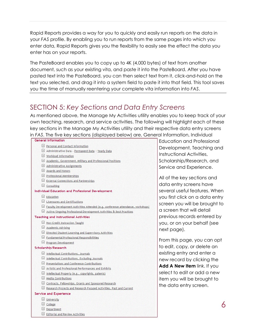Rapid Reports provides a way for you to quickly and easily run reports on the data in your *FAS* profile. By enabling you to run reports from the same pages into which you enter data, Rapid Reports gives you the flexibility to easily see the effect the data you enter has on your reports.

The PasteBoard enables you to copy up to 4K (4,000 bytes) of text from another document, such as your existing vita, and paste it into the PasteBoard. After you have pasted text into the PasteBoard, you can then select text from it, click-and-hold on the text you selected, and drag it into a system field to paste it into that field. This tool saves you the time of manually reentering your complete vita information into *FAS*.

## <span id="page-6-0"></span>SECTION 5: *Key Sections and Data Entry Screens*

As mentioned above, the Manage My Activities utility enables you to keep track of your own teaching, research, and service activities. The following will highlight each of these key sections in the Manage My Activities utility and their respective data entry screens in *FAS*. The five key sections (displayed below) are, General Information, Individual

| <b>General Information</b>                                                      | Edu             |
|---------------------------------------------------------------------------------|-----------------|
| Personal and Contact Information                                                | De <sup>v</sup> |
| Administrative Data - Permanent Data   Yearly Data                              |                 |
| Workload Information                                                            | Inst            |
| Academic, Government, Military and Professional Positions                       | Sch             |
| Administrative Assignments                                                      | Ser             |
| Awards and Honors                                                               |                 |
| Professional Memberships                                                        | All ‹           |
| External Connections and Partnerships                                           |                 |
| $\Box$ Consulting                                                               | dal             |
| Individual Education and Professional Development                               | sev             |
| $E$ Education                                                                   | you             |
| Licensures and Certifications                                                   | SCF             |
| Faculty Development Activities Attended (e.g. conference attendance, workshops) |                 |
| Active/Ongoing Professional Development Activities & Best Practices             | $\alpha$ so     |
| <b>Teaching and Instructional Activities</b>                                    | pre             |
| Non-Credit Instruction Taught                                                   | you             |
| Academic Advising                                                               | ne              |
| Directed Student Learning and Supervisory Activities                            |                 |
| Fundamental Professional Responsibilities                                       | Froi            |
| Program Development                                                             |                 |
| Scholarship/Research                                                            | to e            |
| Intellectual Contributions, Journals                                            | exis            |
| Intellectual Contributions, Excluding Journals                                  | ney             |
| Presentations and Conference Contributions                                      | Ad              |
| Artistic and Professional Performances and Exhibits                             |                 |
| Intellectual Property (e.g., copyrights, patents)                               | sele            |
| Media Contributions                                                             | iter            |
| Contracts, Fellowships, Grants and Sponsored Research                           | the             |
| Research Projects and Research Focused Activities, Past and Current             |                 |
| Service and Experience                                                          |                 |
| <b>D</b> University                                                             |                 |
| College                                                                         |                 |
| <b>D</b> Department                                                             |                 |

Editorial and Review Activities

Jcation and Professional velopment, Teaching and ructional Activities, Scholarship/Research, and vice and Experience.

of the key sections and ta entry screens have eral useful features. When you first click on a data entry screen you will be brought to creen that will detail vious records entered by  $\mu$ , or on your behalf (see d page).

m this page, you can opt edit, copy, or delete an sting entry and enter a w record by clicking the **d A New Item** link. If you ect to edit or add a new n you will be brought to data entry screen.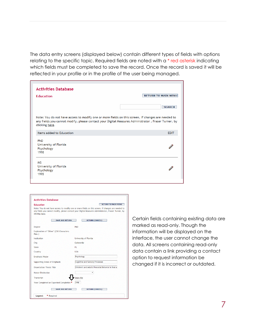The data entry screens (displayed below) contain different types of fields with options relating to the specific topic. Required fields are noted with a \* red asterisk indicating which fields must be completed to save the record. Once the record is saved it will be reflected in your profile or in the profile of the user being managed.

| <b>Activities Database</b>                                                                                                                                                                                                  |                            |
|-----------------------------------------------------------------------------------------------------------------------------------------------------------------------------------------------------------------------------|----------------------------|
| <b>Education</b>                                                                                                                                                                                                            | <b>RETURN TO MAIN MENU</b> |
|                                                                                                                                                                                                                             | <b>SEARCH</b>              |
| Note: You do not have access to modify one or more fields on this screen. If changes are needed to<br>any fields you cannot modify, please contact your Digital Measures Administrator, Fraser Turner, by<br>clicking here. |                            |
| Items added to Education                                                                                                                                                                                                    | <b>EDIT</b>                |
| PhD<br>University of Florida<br>Psychology<br>1998                                                                                                                                                                          |                            |
| <b>MS</b><br>University of Florida<br>Psychology<br>1995                                                                                                                                                                    |                            |

| Note: You do not have access to modify one or more fields on this screen. If changes are needed to<br>any fields you cannot modify, please contact your Digital Measures Administrator, Fraser Turner, by<br>clicking here.<br><b>SAVE AND RETURN</b><br><b>RETURN (CANCEL)</b><br><b>PhD</b><br>Degree<br>Explanation of "Other" (250 Characters<br>Max.)<br>Institution<br><b>University of Florida</b><br>Gainesville<br>City<br>State<br>FL<br>Country<br><b>USA</b><br>Psychology<br>Emphasis/Major<br><b>Cognitive and Sensory Processes</b><br>Supporting Areas of Emphasis | <b>Education</b>                 | <b>RETURN TO MAIN MENU</b>                          |
|------------------------------------------------------------------------------------------------------------------------------------------------------------------------------------------------------------------------------------------------------------------------------------------------------------------------------------------------------------------------------------------------------------------------------------------------------------------------------------------------------------------------------------------------------------------------------------|----------------------------------|-----------------------------------------------------|
|                                                                                                                                                                                                                                                                                                                                                                                                                                                                                                                                                                                    |                                  |                                                     |
|                                                                                                                                                                                                                                                                                                                                                                                                                                                                                                                                                                                    |                                  |                                                     |
|                                                                                                                                                                                                                                                                                                                                                                                                                                                                                                                                                                                    |                                  |                                                     |
|                                                                                                                                                                                                                                                                                                                                                                                                                                                                                                                                                                                    |                                  |                                                     |
|                                                                                                                                                                                                                                                                                                                                                                                                                                                                                                                                                                                    |                                  |                                                     |
|                                                                                                                                                                                                                                                                                                                                                                                                                                                                                                                                                                                    |                                  |                                                     |
|                                                                                                                                                                                                                                                                                                                                                                                                                                                                                                                                                                                    |                                  |                                                     |
|                                                                                                                                                                                                                                                                                                                                                                                                                                                                                                                                                                                    |                                  |                                                     |
|                                                                                                                                                                                                                                                                                                                                                                                                                                                                                                                                                                                    |                                  |                                                     |
|                                                                                                                                                                                                                                                                                                                                                                                                                                                                                                                                                                                    |                                  |                                                     |
|                                                                                                                                                                                                                                                                                                                                                                                                                                                                                                                                                                                    | <b>Dissertation/Thesis Title</b> | Children's and Adults' Prosocial Behavior in Real a |
| Honor/Distinction<br>۰                                                                                                                                                                                                                                                                                                                                                                                                                                                                                                                                                             |                                  |                                                     |
| Store file<br>Transcript                                                                                                                                                                                                                                                                                                                                                                                                                                                                                                                                                           |                                  |                                                     |
| 1998<br>Year Completed or Expected Completion                                                                                                                                                                                                                                                                                                                                                                                                                                                                                                                                      |                                  |                                                     |
| <b>SAVE AND RETURN</b><br><b>RETURN (CANCEL)</b>                                                                                                                                                                                                                                                                                                                                                                                                                                                                                                                                   |                                  |                                                     |

Certain fields containing existing data are marked as read-only. Though the information will be displayed on the interface, the user cannot change the data. All screens containing read-only data contain a link providing a contact option to request information be changed if it is incorrect or outdated.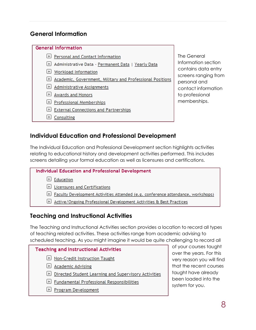## **General Information**

#### **General Information**

- Personal and Contact Information
- Administrative Data Permanent Data | Yearly Data
- **Norkload Information**
- Academic, Government, Military and Professional Positions
- Administrative Assignments
- Awards and Honors
- Professional Memberships
- External Connections and Partnerships
- $\blacksquare$  Consulting

The General Information section contains data entry screens ranging from personal and contact information to professional memberships.

#### **Individual Education and Professional Development**

The Individual Education and Professional Development section highlights activities relating to educational history and development activities performed. This includes screens detailing your formal education as well as licensures and certifications.

#### **Individual Education and Professional Development**

- Education
- Licensures and Certifications
- Faculty Development Activities Attended (e.g. conference attendance, workshops)
- Active/Ongoing Professional Development Activities & Best Practices

#### **Teaching and Instructional Activities**

The Teaching and Instructional Activities section provides a location to record all types of teaching related activities. These activities range from academic advising to scheduled teaching. As you might imagine it would be quite challenging to record all

# **Teaching and Instructional Activities** Non-Credit Instruction Taught

- $\Box$  Academic Advising
- Directed Student Learning and Supervisory Activities
- Fundamental Professional Responsibilities
- Program Development

of your courses taught over the years. For this very reason you will find that the recent courses taught have already been loaded into the system for you.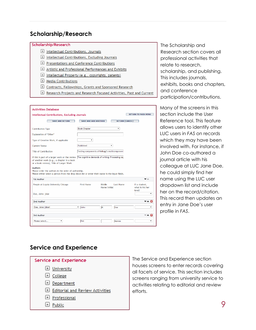#### **Scholarship/Research**

#### Scholarship/Research

- Intellectual Contributions, Journals
- Intellectual Contributions, Excluding Journals
- Presentations and Conference Contributions
- Artistic and Professional Performances and Exhibits
- Intellectual Property (e.g., copyrights, patents)
- Media Contributions
- Contracts, Fellowships, Grants and Sponsored Research
- Research Projects and Research Focused Activities, Past and Current

| <b>Activities Database</b>                                                                                                                                                               |                             |                                                |                                            |
|------------------------------------------------------------------------------------------------------------------------------------------------------------------------------------------|-----------------------------|------------------------------------------------|--------------------------------------------|
| Intellectual Contributions, Excluding Journals                                                                                                                                           |                             |                                                | <b>RETURN TO MAIN MENU</b>                 |
| <b>SAVE AND RETURN</b>                                                                                                                                                                   | <b>SAVE AND ADD ANOTHER</b> | <b>RETURN (CANCEL)</b>                         |                                            |
| <b>Contribution Type</b>                                                                                                                                                                 | <b>Book Chapter</b>         | $\pmb{\mathrm{v}}$                             |                                            |
| Explanation of "Other"                                                                                                                                                                   |                             |                                                |                                            |
| Type of Creative Work, if applicable                                                                                                                                                     | ۰.                          |                                                |                                            |
| <b>Current Status</b>                                                                                                                                                                    | Published                   | ۰.                                             |                                            |
| Title of Contribution                                                                                                                                                                    |                             | Testing components of Kellogg's multicomponent |                                            |
| If this is part of a larger work or the review The cognitive demands of writing: Processing cap<br>of another work (e.g., a chapter in a book<br>or a book review), Title of Larger Work |                             |                                                |                                            |
| <b>Authors</b><br>Please order the authors in the order of authorship.<br>Please either select a person from the drop-down list or enter their name in the input fields.                 |                             |                                                |                                            |
| 1st Author                                                                                                                                                                               |                             |                                                | ▼△                                         |
| People at Loyola University Chicago                                                                                                                                                      | <b>First Name</b>           | <b>Last Name</b><br>Middle<br>Name/Initial     | If a student,<br>what is his/her<br>level? |
| Doe, John: jdoe                                                                                                                                                                          |                             |                                                | ۰                                          |
| 2nd Author                                                                                                                                                                               |                             |                                                |                                            |
| Doe, Jane: jdoe1                                                                                                                                                                         | John<br>▼                   | lм<br>Doe                                      | ۰.                                         |
| 3rd Author                                                                                                                                                                               |                             |                                                | Гx                                         |
| Please select<br>۰                                                                                                                                                                       | Phil                        | <b>Mareas</b>                                  | ۰.                                         |

The Scholarship and Research section covers all professional activities that relate to research, scholarship, and publishing. This includes journals, exhibits, books and chapters, and conference participation/contributions.

Many of the screens in this section include the User Reference tool. This feature allows users to identify other LUC users in *FAS* on records which they may have been involved with. For instance, if John Doe co-authored a journal article with his colleague at LUC Jane Doe, he could simply find her name using the LUC user dropdown list and include her on the record/citation. This record then updates an entry in Jane Doe's user profile in *FAS*.

## **Service and Experience**



The Service and Experience section houses screens to enter records covering all facets of service. This section includes screens ranging from university service to activities relating to editorial and review efforts.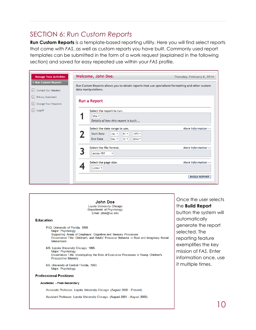## <span id="page-10-0"></span>SECTION 6: *Run Custom Reports*

**Run Custom Reports** is a template-based reporting utility. Here you will find select reports that come with *FAS*, as well as custom reports you have built. Commonly used report templates can be submitted in the form of a work request (explained in the following section) and saved for easy repeated use within your *FAS* profile.

| <b>Manage Your Activities</b>                                               | Welcome, John Doe.                                                                                                                              | Thursday, February 6, 2014 |
|-----------------------------------------------------------------------------|-------------------------------------------------------------------------------------------------------------------------------------------------|----------------------------|
| <b>Run Custom Reports</b><br>Contact Our Helpdesk<br>$\left  \cdot \right $ | Run Custom Reports allows you to obtain reports that use specialized formatting and other custom<br>data manipulations.                         |                            |
| <b>Privacy Statement</b><br>×.<br><b>Change Your Password</b><br>×.         | Run a Report                                                                                                                                    |                            |
| $\blacktriangleright$ Logoff                                                | Select the report to run.<br>Vita v<br>Details of how this report is built                                                                      |                            |
|                                                                             | Select the date range to use.<br><b>Start Date</b><br>Jan v<br>$01 -$<br>1973 $\times$<br>End Date<br>Dec 7<br>$31 \times$<br>$2014$ $\sqrt{ }$ | More Information >>        |
|                                                                             | Select the file format.<br><b>Adobe PDF</b><br>▼                                                                                                | More Information >>        |
|                                                                             | Select the page size.<br>Letter <sup>v</sup>                                                                                                    | More Information >>        |
|                                                                             |                                                                                                                                                 | <b>BUILD REPORT</b>        |



Once the user selects the **Build Report** button the system will automatically generate the report selected. The reporting feature exemplifies the key mission of *FAS*. Enter information once, use it multiple times.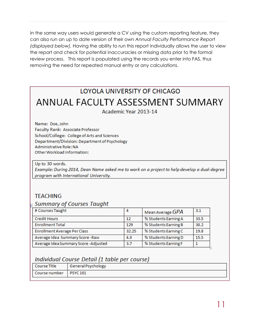In the same way users would generate a CV using the custom reporting feature, they can also run an up to date version of their own *Annual Faculty Performance Report (displayed below).* Having the ability to run this report individually allows the user to view the report and check for potential inaccuracies or missing data prior to the formal review process. This report is populated using the records you enter into FAS, thus removing the need for repeated manual entry or any calculations.

# LOYOLA UNIVERSITY OF CHICAGO ANNUAL FACULTY ASSESSMENT SUMMARY

Academic Year 2013-14

Name: Doe, John Faculty Rank: Associate Professor School/College: College of Arts and Sciences Department/Division: Department of Psychology Administrative Role: NA Other Workload Information:

Up to 30 words.

Example: During 2014, Dean Name asked me to work on a project to help develop a dual-degree program with International University.

#### **TFACHING**

#### **Summary of Courses Taught**

| % Students Earning A<br><b>Credit Hours</b><br>33.5<br>12<br>% Students Earning B<br><b>Enrollment Total</b><br>30.2<br>129<br>Enrollment Average Per Class<br>% Students Earning C<br>32.25<br>19.8<br>% Students Earning D<br>Average Idea Summary Score - Raw<br>15.5<br>4.0<br>% Students Earning F<br>Average Idea Summary Score - Adjusted<br>3.7 | # Courses Taught | 4 | Mean Average GPA | 3.1 |
|---------------------------------------------------------------------------------------------------------------------------------------------------------------------------------------------------------------------------------------------------------------------------------------------------------------------------------------------------------|------------------|---|------------------|-----|
|                                                                                                                                                                                                                                                                                                                                                         |                  |   |                  |     |
|                                                                                                                                                                                                                                                                                                                                                         |                  |   |                  |     |
|                                                                                                                                                                                                                                                                                                                                                         |                  |   |                  |     |
|                                                                                                                                                                                                                                                                                                                                                         |                  |   |                  |     |
|                                                                                                                                                                                                                                                                                                                                                         |                  |   |                  |     |

#### Individual Course Detail (1 table per course)

<span id="page-11-0"></span>

| l Course Title         | General Psychology |
|------------------------|--------------------|
| Course number PSYC 101 |                    |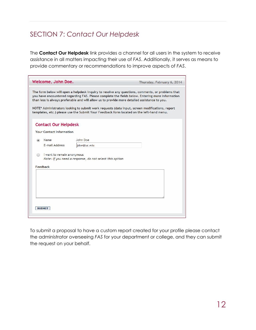# SECTION 7: *Contact Our Helpdesk*

The **Contact Our Helpdesk** link provides a channel for all users in the system to receive assistance in all matters impacting their use of *FAS*. Additionally, it serves as means to provide commentary or recommendations to improve aspects of *FAS*.

| The form below will open a helpdesk inquiry to resolve any questions, comments, or problems that<br>you have encountered regarding FAS. Please complete the fields below. Entering more information<br>than less is always preferable and will allow us to provide more detailed assistance to you.<br>NOTE* Administrators looking to submit work requests (data input, screen modifications, report<br>templates, etc.) please use the Submit Your Feedback form located on the left-hand menu.<br><b>Contact Our Helpdesk</b><br><b>Your Contact Information</b><br>John Doe<br>Name<br><b>F-mail Address</b><br>idoe@luc.edu<br>I want to remain anonymous<br>Note: If you need a response, do not select this option<br>Feedback<br><b>SUBMIT</b> | Welcome, John Doe. | Thursday, February 6, 2014 |
|--------------------------------------------------------------------------------------------------------------------------------------------------------------------------------------------------------------------------------------------------------------------------------------------------------------------------------------------------------------------------------------------------------------------------------------------------------------------------------------------------------------------------------------------------------------------------------------------------------------------------------------------------------------------------------------------------------------------------------------------------------|--------------------|----------------------------|
|                                                                                                                                                                                                                                                                                                                                                                                                                                                                                                                                                                                                                                                                                                                                                        |                    |                            |
|                                                                                                                                                                                                                                                                                                                                                                                                                                                                                                                                                                                                                                                                                                                                                        |                    |                            |
|                                                                                                                                                                                                                                                                                                                                                                                                                                                                                                                                                                                                                                                                                                                                                        |                    |                            |
|                                                                                                                                                                                                                                                                                                                                                                                                                                                                                                                                                                                                                                                                                                                                                        |                    |                            |
|                                                                                                                                                                                                                                                                                                                                                                                                                                                                                                                                                                                                                                                                                                                                                        |                    |                            |
|                                                                                                                                                                                                                                                                                                                                                                                                                                                                                                                                                                                                                                                                                                                                                        |                    |                            |
|                                                                                                                                                                                                                                                                                                                                                                                                                                                                                                                                                                                                                                                                                                                                                        |                    |                            |
|                                                                                                                                                                                                                                                                                                                                                                                                                                                                                                                                                                                                                                                                                                                                                        |                    |                            |
|                                                                                                                                                                                                                                                                                                                                                                                                                                                                                                                                                                                                                                                                                                                                                        |                    |                            |
|                                                                                                                                                                                                                                                                                                                                                                                                                                                                                                                                                                                                                                                                                                                                                        |                    |                            |
|                                                                                                                                                                                                                                                                                                                                                                                                                                                                                                                                                                                                                                                                                                                                                        |                    |                            |
|                                                                                                                                                                                                                                                                                                                                                                                                                                                                                                                                                                                                                                                                                                                                                        |                    |                            |
|                                                                                                                                                                                                                                                                                                                                                                                                                                                                                                                                                                                                                                                                                                                                                        |                    |                            |
|                                                                                                                                                                                                                                                                                                                                                                                                                                                                                                                                                                                                                                                                                                                                                        |                    |                            |

To submit a proposal to have a custom report created for your profile please contact the administrator overseeing *FAS* for your department or college, and they can submit the request on your behalf.